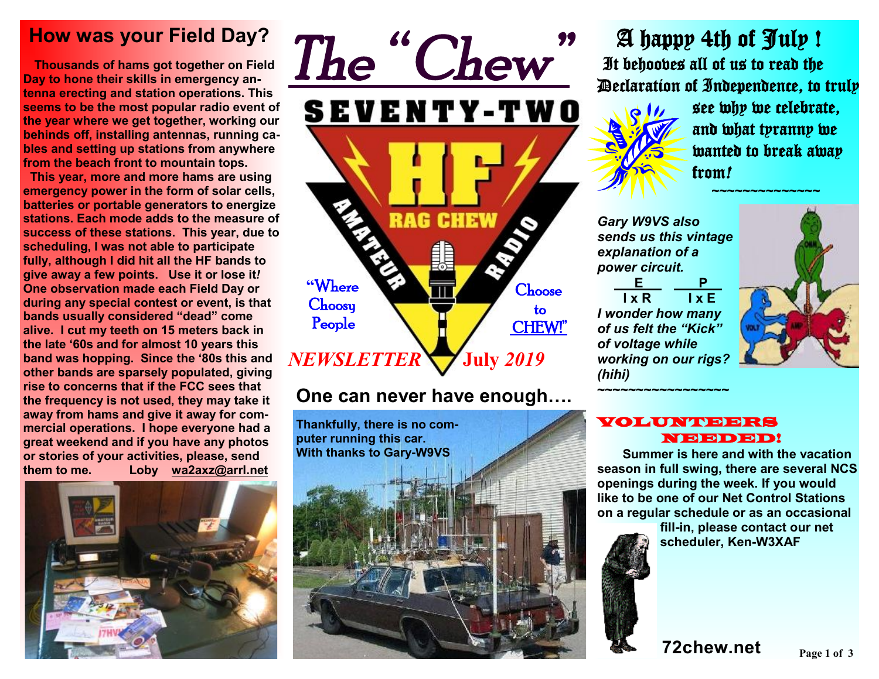# **How was your Field Day?**

 **Thousands of hams got together on Field Day to hone their skills in emergency antenna erecting and station operations. This seems to be the most popular radio event of the year where we get together, working our behinds off, installing antennas, running cables and setting up stations from anywhere from the beach front to mountain tops.** 

 **This year, more and more hams are using emergency power in the form of solar cells, batteries or portable generators to energize stations. Each mode adds to the measure of success of these stations. This year, due to scheduling, I was not able to participate fully, although I did hit all the HF bands to give away a few points. Use it or lose it***!* **One observation made each Field Day or during any special contest or event, is that bands usually considered "dead" come alive. I cut my teeth on 15 meters back in the late '60s and for almost 10 years this band was hopping. Since the '80s this and other bands are sparsely populated, giving rise to concerns that if the FCC sees that the frequency is not used, they may take it away from hams and give it away for commercial operations. I hope everyone had a great weekend and if you have any photos or stories of your activities, please, send them to me. Loby [wa2axz@arrl.net](mailto:wa2axz@arrl.net)**





## **One can never have enough….**

**Thankfully, there is no computer running this car. With thanks to Gary-W9VS**



 A happy 4th of July ! It behooves all of us to read the Declaration of Independence, to truly



see why we celebrate, and what tyranny we wanted to break away from*!*

 *~~~~~~~~~~~~~~* 

*Gary W9VS also sends us this vintage explanation of a power circuit.* 

**E P I** x R **I** x E *I wonder how many of us felt the "Kick" of voltage while working on our rigs? (hihi)*

**~~~~~~~~~~~~~~~~~** 



#### VOLUNTEERS NEEDED!

 **Summer is here and with the vacation season in full swing, there are several NCS openings during the week. If you would like to be one of our Net Control Stations on a regular schedule or as an occasional** 

**fill-in, please contact our net scheduler, Ken-W3XAF**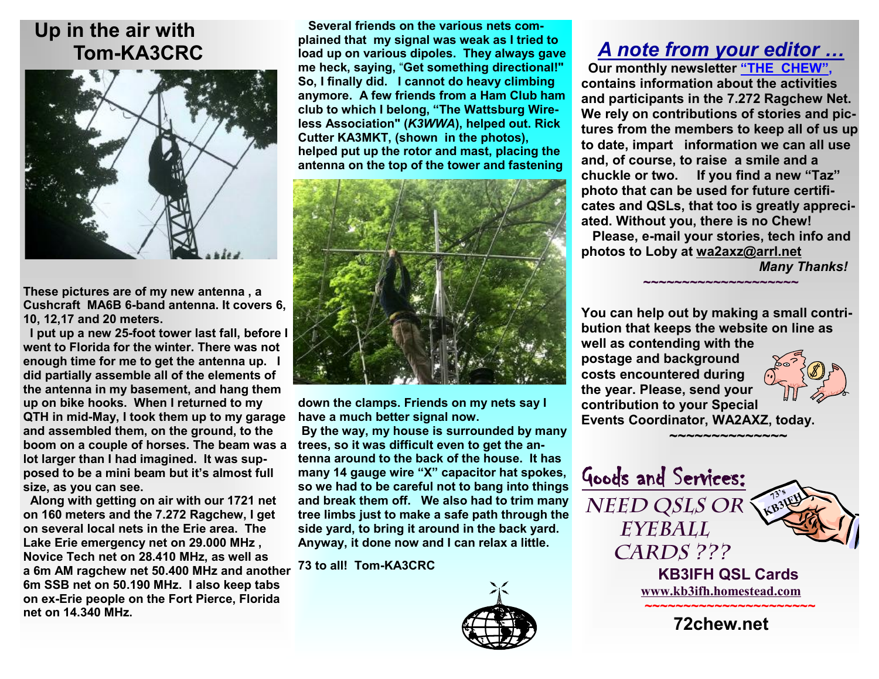## **Up in the air with Tom-KA3CRC**



**These pictures are of my new antenna , a Cushcraft MA6B 6-band antenna. It covers 6, 10, 12,17 and 20 meters.** 

**trees, so it was difficult even to get the an-boom on a couple of horses. The beam was a I put up a new 25-foot tower last fall, before I went to Florida for the winter. There was not enough time for me to get the antenna up. I did partially assemble all of the elements of the antenna in my basement, and hang them up on bike hooks. When I returned to my QTH in mid-May, I took them up to my garage and assembled them, on the ground, to the lot larger than I had imagined. It was supposed to be a mini beam but it's almost full size, as you can see.** 

**Along with getting on air with our 1721 net on 160 meters and the 7.272 Ragchew, I get on several local nets in the Erie area. The Lake Erie emergency net on 29.000 MHz , Novice Tech net on 28.410 MHz, as well as a 6m AM ragchew net 50.400 MHz and another 6m SSB net on 50.190 MHz. I also keep tabs on ex-Erie people on the Fort Pierce, Florida net on 14.340 MHz.** 

**Several friends on the various nets complained that my signal was weak as I tried to load up on various dipoles. They always gave me heck, saying,** "**Get something directional!" So, I finally did. I cannot do heavy climbing anymore. A few friends from a Ham Club ham club to which I belong, "The Wattsburg Wireless Association" (***K3WWA***), helped out. Rick Cutter KA3MKT, (shown in the photos), helped put up the rotor and mast, placing the antenna on the top of the tower and fastening** 



**down the clamps. Friends on my nets say I have a much better signal now.** 

 **By the way, my house is surrounded by many tenna around to the back of the house. It has many 14 gauge wire "X" capacitor hat spokes, so we had to be careful not to bang into things and break them off. We also had to trim many tree limbs just to make a safe path through the side yard, to bring it around in the back yard. Anyway, it done now and I can relax a little.** 

**73 to all! Tom-KA3CRC** 



# *A note from your editor …*

 **Our monthly newsletter "THE CHEW", contains information about the activities and participants in the 7.272 Ragchew Net. We rely on contributions of stories and pictures from the members to keep all of us up to date, impart information we can all use and, of course, to raise a smile and a chuckle or two. If you find a new "Taz" photo that can be used for future certificates and QSLs, that too is greatly appreciated. Without you, there is no Chew! Please, e-mail your stories, tech info and photos to Loby at [wa2axz@arrl.net](mailto:wa2axz@arrl.net)** 

**~~~~~~~~~~~~~~~~~~~~**

*Many Thanks!* 

**You can help out by making a small contribution that keeps the website on line as well as contending with the postage and background costs encountered during the year. Please, send your contribution to your Special Events Coordinator, WA2AXZ, today.** 

 **~~~~~~~~~~~~~~~** 

Goods and Services: *Need QSLs or Eyeball Cards ???*   **KB3IFH QSL Cards [www.kb3ifh.homestead.com](http://www.kb3ifh.homestead.com) ~~~~~~~~~~~~~~~~~~~~~~ 72chew.net 73's KB3IFH**